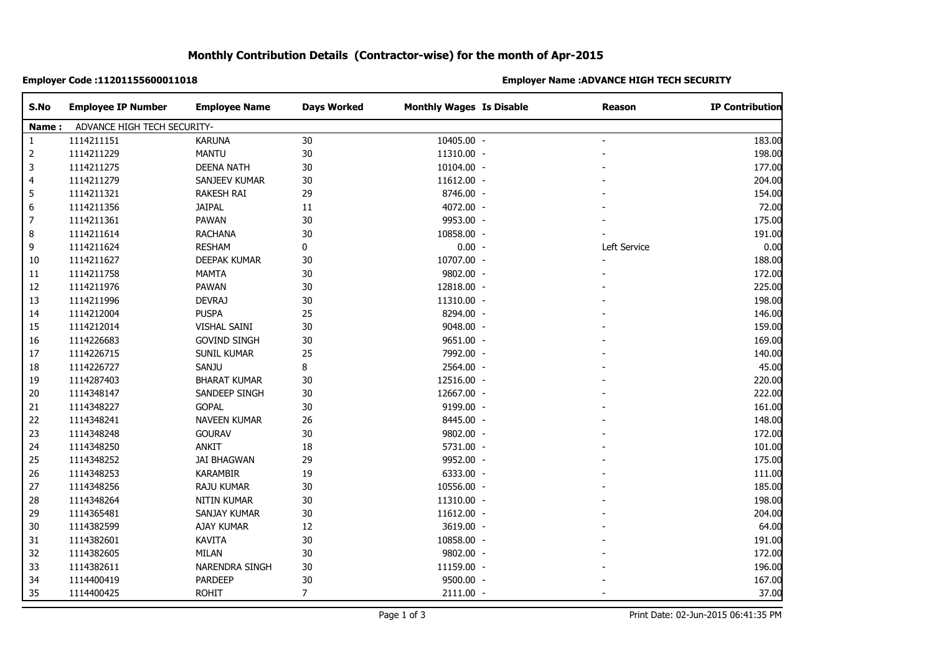# **Monthly Contribution Details (Contractor-wise) for the month of Apr-2015**

### **Employer Code :11201155600011018 Employer Name :ADVANCE HIGH TECH SECURITY**

| S.No  | <b>Employee IP Number</b>   | <b>Employee Name</b> | <b>Days Worked</b> | <b>Monthly Wages Is Disable</b> | <b>Reason</b> | <b>IP Contribution</b> |
|-------|-----------------------------|----------------------|--------------------|---------------------------------|---------------|------------------------|
| Name: | ADVANCE HIGH TECH SECURITY- |                      |                    |                                 |               |                        |
| 1     | 1114211151                  | <b>KARUNA</b>        | 30                 | 10405.00 -                      |               | 183.00                 |
| 2     | 1114211229                  | <b>MANTU</b>         | 30                 | 11310.00 -                      |               | 198.00                 |
| 3     | 1114211275                  | <b>DEENA NATH</b>    | $30\,$             | 10104.00 -                      |               | 177.00                 |
| 4     | 1114211279                  | SANJEEV KUMAR        | 30                 | 11612.00 -                      |               | 204.00                 |
| 5     | 1114211321                  | <b>RAKESH RAI</b>    | 29                 | 8746.00 -                       |               | 154.00                 |
| 6     | 1114211356                  | <b>JAIPAL</b>        | 11                 | 4072.00 -                       |               | 72.00                  |
| 7     | 1114211361                  | PAWAN                | $30\,$             | 9953.00 -                       |               | 175.00                 |
| 8     | 1114211614                  | <b>RACHANA</b>       | 30                 | 10858.00 -                      |               | 191.00                 |
| 9     | 1114211624                  | <b>RESHAM</b>        | 0                  | $0.00 -$                        | Left Service  | 0.00                   |
| 10    | 1114211627                  | DEEPAK KUMAR         | $30\,$             | 10707.00 -                      |               | 188.00                 |
| 11    | 1114211758                  | <b>MAMTA</b>         | 30                 | 9802.00 -                       |               | 172.00                 |
| 12    | 1114211976                  | PAWAN                | $30\,$             | 12818.00 -                      |               | 225.00                 |
| 13    | 1114211996                  | <b>DEVRAJ</b>        | $30\,$             | 11310.00 -                      |               | 198.00                 |
| 14    | 1114212004                  | <b>PUSPA</b>         | 25                 | 8294.00 -                       |               | 146.00                 |
| 15    | 1114212014                  | VISHAL SAINI         | 30                 | 9048.00 -                       |               | 159.00                 |
| 16    | 1114226683                  | <b>GOVIND SINGH</b>  | 30                 | 9651.00 -                       |               | 169.00                 |
| 17    | 1114226715                  | SUNIL KUMAR          | 25                 | 7992.00 -                       |               | 140.00                 |
| 18    | 1114226727                  | SANJU                | 8                  | 2564.00 -                       |               | 45.00                  |
| 19    | 1114287403                  | <b>BHARAT KUMAR</b>  | $30\,$             | 12516.00 -                      |               | 220.00                 |
| 20    | 1114348147                  | SANDEEP SINGH        | $30\,$             | 12667.00 -                      |               | 222.00                 |
| 21    | 1114348227                  | <b>GOPAL</b>         | 30                 | 9199.00 -                       |               | 161.00                 |
| 22    | 1114348241                  | NAVEEN KUMAR         | 26                 | 8445.00 -                       |               | 148.00                 |
| 23    | 1114348248                  | <b>GOURAV</b>        | 30                 | 9802.00 -                       |               | 172.00                 |
| 24    | 1114348250                  | ANKIT                | 18                 | 5731.00 -                       |               | 101.00                 |
| 25    | 1114348252                  | <b>JAI BHAGWAN</b>   | 29                 | 9952.00 -                       |               | 175.00                 |
| 26    | 1114348253                  | <b>KARAMBIR</b>      | 19                 | 6333.00 -                       |               | 111.00                 |
| 27    | 1114348256                  | RAJU KUMAR           | 30                 | 10556.00 -                      |               | 185.00                 |
| 28    | 1114348264                  | <b>NITIN KUMAR</b>   | 30                 | 11310.00 -                      |               | 198.00                 |
| 29    | 1114365481                  | SANJAY KUMAR         | 30                 | 11612.00 -                      |               | 204.00                 |
| 30    | 1114382599                  | AJAY KUMAR           | 12                 | 3619.00 -                       |               | 64.00                  |
| 31    | 1114382601                  | <b>KAVITA</b>        | 30                 | 10858.00 -                      |               | 191.00                 |
| 32    | 1114382605                  | MILAN                | $30\,$             | 9802.00 -                       |               | 172.00                 |
| 33    | 1114382611                  | NARENDRA SINGH       | 30                 | 11159.00 -                      |               | 196.00                 |
| 34    | 1114400419                  | PARDEEP              | $30\,$             | 9500.00 -                       |               | 167.00                 |
| 35    | 1114400425                  | <b>ROHIT</b>         | $\overline{7}$     | $2111.00 -$                     |               | 37.00                  |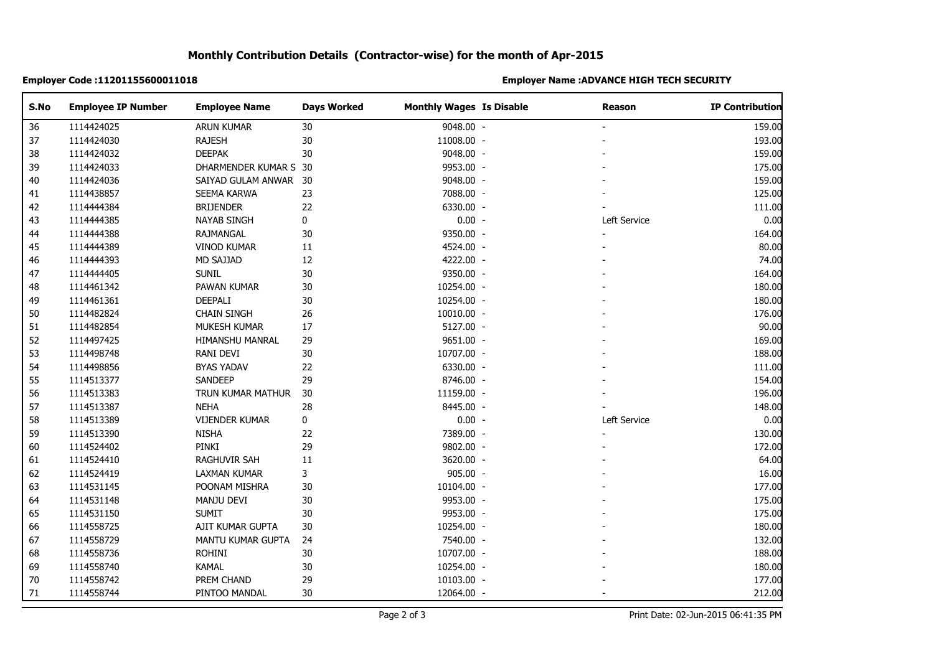# **Monthly Contribution Details (Contractor-wise) for the month of Apr-2015**

### **Employer Code :11201155600011018 Employer Name :ADVANCE HIGH TECH SECURITY**

| S.No | <b>Employee IP Number</b> | <b>Employee Name</b>  | <b>Days Worked</b> | <b>Monthly Wages Is Disable</b> | Reason       | <b>IP Contribution</b> |
|------|---------------------------|-----------------------|--------------------|---------------------------------|--------------|------------------------|
| 36   | 1114424025                | <b>ARUN KUMAR</b>     | 30                 | 9048.00 -                       |              | 159.00                 |
| 37   | 1114424030                | <b>RAJESH</b>         | $30\,$             | 11008.00 -                      |              | 193.00                 |
| 38   | 1114424032                | <b>DEEPAK</b>         | 30                 | 9048.00 -                       |              | 159.00                 |
| 39   | 1114424033                | DHARMENDER KUMAR S 30 |                    | 9953.00 -                       |              | 175.00                 |
| 40   | 1114424036                | SAIYAD GULAM ANWAR 30 |                    | 9048.00 -                       |              | 159.00                 |
| 41   | 1114438857                | SEEMA KARWA           | 23                 | 7088.00 -                       |              | 125.00                 |
| 42   | 1114444384                | <b>BRIJENDER</b>      | 22                 | 6330.00 -                       |              | 111.00                 |
| 43   | 1114444385                | <b>NAYAB SINGH</b>    | 0                  | $0.00 -$                        | Left Service | 0.00                   |
| 44   | 1114444388                | <b>RAJMANGAL</b>      | 30                 | 9350.00 -                       |              | 164.00                 |
| 45   | 1114444389                | <b>VINOD KUMAR</b>    | 11                 | 4524.00 -                       |              | 80.00                  |
| 46   | 1114444393                | MD SAJJAD             | 12                 | 4222.00 -                       |              | 74.00                  |
| 47   | 1114444405                | <b>SUNIL</b>          | $30\,$             | 9350.00 -                       |              | 164.00                 |
| 48   | 1114461342                | PAWAN KUMAR           | $30\,$             | 10254.00 -                      |              | 180.00                 |
| 49   | 1114461361                | DEEPALI               | 30                 | 10254.00 -                      |              | 180.00                 |
| 50   | 1114482824                | <b>CHAIN SINGH</b>    | 26                 | 10010.00 -                      |              | 176.00                 |
| 51   | 1114482854                | MUKESH KUMAR          | 17                 | 5127.00 -                       |              | 90.00                  |
| 52   | 1114497425                | HIMANSHU MANRAL       | 29                 | 9651.00 -                       |              | 169.00                 |
| 53   | 1114498748                | RANI DEVI             | 30                 | 10707.00 -                      |              | 188.00                 |
| 54   | 1114498856                | <b>BYAS YADAV</b>     | 22                 | 6330.00 -                       |              | 111.00                 |
| 55   | 1114513377                | SANDEEP               | 29                 | 8746.00 -                       |              | 154.00                 |
| 56   | 1114513383                | TRUN KUMAR MATHUR     | 30                 | 11159.00 -                      |              | 196.00                 |
| 57   | 1114513387                | <b>NEHA</b>           | 28                 | 8445.00 -                       |              | 148.00                 |
| 58   | 1114513389                | <b>VIJENDER KUMAR</b> | $\pmb{0}$          | $0.00 -$                        | Left Service | 0.00                   |
| 59   | 1114513390                | <b>NISHA</b>          | 22                 | 7389.00 -                       |              | 130.00                 |
| 60   | 1114524402                | PINKI                 | 29                 | 9802.00 -                       |              | 172.00                 |
| 61   | 1114524410                | RAGHUVIR SAH          | $11\,$             | 3620.00 -                       |              | 64.00                  |
| 62   | 1114524419                | LAXMAN KUMAR          | 3                  | 905.00 -                        |              | 16.00                  |
| 63   | 1114531145                | POONAM MISHRA         | 30                 | 10104.00 -                      |              | 177.00                 |
| 64   | 1114531148                | MANJU DEVI            | 30                 | 9953.00 -                       |              | 175.00                 |
| 65   | 1114531150                | <b>SUMIT</b>          | $30\,$             | 9953.00 -                       |              | 175.00                 |
| 66   | 1114558725                | AJIT KUMAR GUPTA      | 30                 | 10254.00 -                      |              | 180.00                 |
| 67   | 1114558729                | MANTU KUMAR GUPTA     | 24                 | 7540.00 -                       |              | 132.00                 |
| 68   | 1114558736                | <b>ROHINI</b>         | 30                 | 10707.00 -                      |              | 188.00                 |
| 69   | 1114558740                | <b>KAMAL</b>          | 30                 | 10254.00 -                      |              | 180.00                 |
| 70   | 1114558742                | PREM CHAND            | 29                 | 10103.00 -                      |              | 177.00                 |
| 71   | 1114558744                | PINTOO MANDAL         | 30                 | 12064.00 -                      |              | 212.00                 |